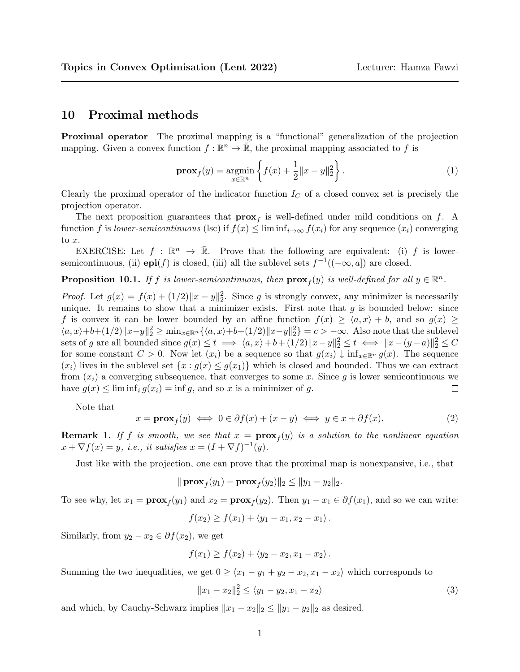## 10 Proximal methods

Proximal operator The proximal mapping is a "functional" generalization of the projection mapping. Given a convex function  $f : \mathbb{R}^n \to \overline{\mathbb{R}}$ , the proximal mapping associated to f is

$$
\mathbf{prox}_{f}(y) = \underset{x \in \mathbb{R}^n}{\text{argmin}} \left\{ f(x) + \frac{1}{2} \|x - y\|_2^2 \right\}.
$$
 (1)

Clearly the proximal operator of the indicator function  $I_C$  of a closed convex set is precisely the projection operator.

The next proposition guarantees that  $\mathbf{prox}_f$  is well-defined under mild conditions on f. A function f is lower-semicontinuous (lsc) if  $f(x) \leq \liminf_{i \to \infty} f(x_i)$  for any sequence  $(x_i)$  converging to x.

EXERCISE: Let  $f : \mathbb{R}^n \to \overline{\mathbb{R}}$ . Prove that the following are equivalent: (i) f is lowersemicontinuous, (ii)  $epi(f)$  is closed, (iii) all the sublevel sets  $f^{-1}((-\infty, a])$  are closed.

**Proposition 10.1.** If f is lower-semicontinuous, then  $\mathbf{prox}_f(y)$  is well-defined for all  $y \in \mathbb{R}^n$ .

*Proof.* Let  $g(x) = f(x) + (1/2) \|x - y\|_2^2$ . Since g is strongly convex, any minimizer is necessarily unique. It remains to show that a minimizer exists. First note that  $g$  is bounded below: since f is convex it can be lower bounded by an affine function  $f(x) \ge \langle a, x \rangle + b$ , and so  $g(x) \ge$  $\langle a, x \rangle + b + (1/2) \|x - y\|_2^2 \ge \min_{x \in \mathbb{R}^n} \{ \langle a, x \rangle + b + (1/2) \|x - y\|_2^2 \} = c > -\infty$ . Also note that the sublevel sets of g are all bounded since  $g(x) \le t \implies \langle a, x \rangle + b + (1/2) \|x - y\|_2^2 \le t \iff \|x - (y - a)\|_2^2 \le C$ for some constant  $C > 0$ . Now let  $(x_i)$  be a sequence so that  $g(x_i) \downarrow \inf_{x \in \mathbb{R}^n} g(x)$ . The sequence  $(x_i)$  lives in the sublevel set  $\{x : g(x) \leq g(x_1)\}\$  which is closed and bounded. Thus we can extract from  $(x_i)$  a converging subsequence, that converges to some x. Since g is lower semicontinuous we have  $g(x) \leq \liminf_i g(x_i) = \inf g$ , and so x is a minimizer of g.  $\Box$ 

Note that

<span id="page-0-0"></span>
$$
x = \mathbf{prox}_f(y) \iff 0 \in \partial f(x) + (x - y) \iff y \in x + \partial f(x). \tag{2}
$$

**Remark 1.** If f is smooth, we see that  $x = \textbf{prox}_f(y)$  is a solution to the nonlinear equation  $x + \nabla f(x) = y$ , i.e., it satisfies  $x = (I + \nabla f)^{-1}(y)$ .

Just like with the projection, one can prove that the proximal map is nonexpansive, i.e., that

$$
\|\mathbf{prox}_f(y_1) - \mathbf{prox}_f(y_2)\|_2 \le \|y_1 - y_2\|_2.
$$

To see why, let  $x_1 = \mathbf{prox}_f(y_1)$  and  $x_2 = \mathbf{prox}_f(y_2)$ . Then  $y_1 - x_1 \in \partial f(x_1)$ , and so we can write:

$$
f(x_2) \ge f(x_1) + \langle y_1 - x_1, x_2 - x_1 \rangle.
$$

Similarly, from  $y_2 - x_2 \in \partial f(x_2)$ , we get

$$
f(x_1) \ge f(x_2) + \langle y_2 - x_2, x_1 - x_2 \rangle.
$$

Summing the two inequalities, we get  $0 \geq \langle x_1 - y_1 + y_2 - x_2, x_1 - x_2 \rangle$  which corresponds to

$$
||x_1 - x_2||_2^2 \le \langle y_1 - y_2, x_1 - x_2 \rangle \tag{3}
$$

and which, by Cauchy-Schwarz implies  $||x_1 - x_2||_2 \le ||y_1 - y_2||_2$  as desired.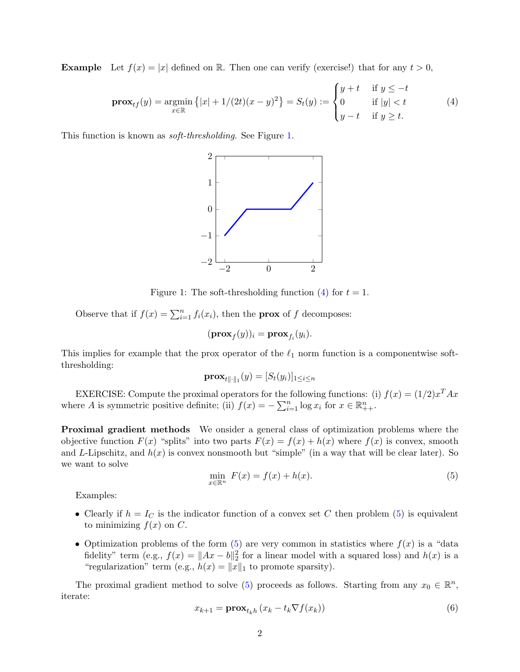**Example** Let  $f(x) = |x|$  defined on R. Then one can verify (exercise!) that for any  $t > 0$ ,

<span id="page-1-1"></span>
$$
\mathbf{prox}_{tf}(y) = \underset{x \in \mathbb{R}}{\text{argmin}} \left\{ |x| + 1/(2t)(x - y)^2 \right\} = S_t(y) := \begin{cases} y + t & \text{if } y \le -t \\ 0 & \text{if } |y| < t \\ y - t & \text{if } y \ge t. \end{cases} \tag{4}
$$

This function is known as soft-thresholding. See Figure [1.](#page-1-0)



<span id="page-1-0"></span>Figure 1: The soft-thresholding function [\(4\)](#page-1-1) for  $t = 1$ .

Observe that if  $f(x) = \sum_{i=1}^{n} f_i(x_i)$ , then the **prox** of f decomposes:

$$
(\mathbf{prox}_f(y))_i = \mathbf{prox}_{f_i}(y_i).
$$

This implies for example that the prox operator of the  $\ell_1$  norm function is a componentwise softthresholding:

$$
\mathbf{prox}_{t\|\cdot\|_1}(y) = [S_t(y_i)]_{1 \le i \le n}
$$

EXERCISE: Compute the proximal operators for the following functions: (i)  $f(x) = (1/2)x^{T} A x$ where A is symmetric positive definite; (ii)  $f(x) = -\sum_{i=1}^{n} \log x_i$  for  $x \in \mathbb{R}_{++}^{n}$ .

Proximal gradient methods We onsider a general class of optimization problems where the objective function  $F(x)$  "splits" into two parts  $F(x) = f(x) + h(x)$  where  $f(x)$  is convex, smooth and L-Lipschitz, and  $h(x)$  is convex nonsmooth but "simple" (in a way that will be clear later). So we want to solve

<span id="page-1-2"></span>
$$
\min_{x \in \mathbb{R}^n} F(x) = f(x) + h(x). \tag{5}
$$

Examples:

- Clearly if  $h = I_C$  is the indicator function of a convex set C then problem [\(5\)](#page-1-2) is equivalent to minimizing  $f(x)$  on C.
- Optimization problems of the form  $(5)$  are very common in statistics where  $f(x)$  is a "data fidelity" term (e.g.,  $f(x) = ||Ax - b||_2^2$  for a linear model with a squared loss) and  $h(x)$  is a "regularization" term (e.g.,  $h(x) = ||x||_1$  to promote sparsity).

The proximal gradient method to solve [\(5\)](#page-1-2) proceeds as follows. Starting from any  $x_0 \in \mathbb{R}^n$ , iterate:

<span id="page-1-3"></span>
$$
x_{k+1} = \mathbf{prox}_{t_k h} \left( x_k - t_k \nabla f(x_k) \right) \tag{6}
$$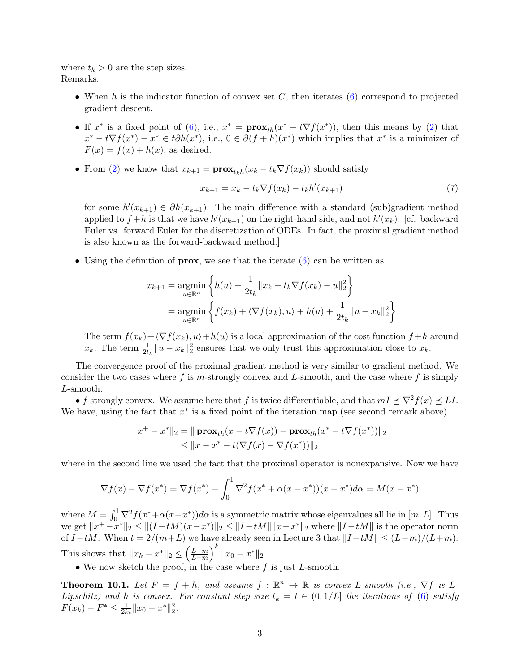where  $t_k > 0$  are the step sizes. Remarks:

- When h is the indicator function of convex set  $C$ , then iterates [\(6\)](#page-1-3) correspond to projected gradient descent.
- If  $x^*$  is a fixed point of [\(6\)](#page-1-3), i.e.,  $x^* = \mathbf{prox}_{th}(x^* t\nabla f(x^*))$ , then this means by [\(2\)](#page-0-0) that  $x^* - t\nabla f(x^*) - x^* \in t\partial h(x^*),$  i.e.,  $0 \in \partial (f + h)(x^*)$  which implies that  $x^*$  is a minimizer of  $F(x) = f(x) + h(x)$ , as desired.
- From [\(2\)](#page-0-0) we know that  $x_{k+1} = \mathbf{prox}_{t_k h}(x_k t_k \nabla f(x_k))$  should satisfy

<span id="page-2-0"></span>
$$
x_{k+1} = x_k - t_k \nabla f(x_k) - t_k h'(x_{k+1})
$$
\n(7)

for some  $h'(x_{k+1}) \in \partial h(x_{k+1})$ . The main difference with a standard (sub)gradient method applied to  $f+h$  is that we have  $h'(x_{k+1})$  on the right-hand side, and not  $h'(x_k)$ . [cf. backward Euler vs. forward Euler for the discretization of ODEs. In fact, the proximal gradient method is also known as the forward-backward method.]

• Using the definition of **prox**, we see that the iterate  $(6)$  can be written as

$$
x_{k+1} = \underset{u \in \mathbb{R}^n}{\text{argmin}} \left\{ h(u) + \frac{1}{2t_k} ||x_k - t_k \nabla f(x_k) - u||_2^2 \right\}
$$
  
= 
$$
\underset{u \in \mathbb{R}^n}{\text{argmin}} \left\{ f(x_k) + \langle \nabla f(x_k), u \rangle + h(u) + \frac{1}{2t_k} ||u - x_k||_2^2 \right\}
$$

The term  $f(x_k)+\langle \nabla f(x_k), u \rangle +h(u)$  is a local approximation of the cost function  $f + h$  around  $x_k$ . The term  $\frac{1}{2t_k} \|u - x_k\|_2^2$  ensures that we only trust this approximation close to  $x_k$ .

The convergence proof of the proximal gradient method is very similar to gradient method. We consider the two cases where f is m-strongly convex and L-smooth, and the case where f is simply L-smooth.

• f strongly convex. We assume here that f is twice differentiable, and that  $mI \preceq \nabla^2 f(x) \preceq L I$ . We have, using the fact that  $x^*$  is a fixed point of the iteration map (see second remark above)

$$
||x^{+} - x^{*}||_{2} = ||\mathbf{prox}_{th}(x - t\nabla f(x)) - \mathbf{prox}_{th}(x^{*} - t\nabla f(x^{*}))||_{2}
$$
  
 
$$
\leq ||x - x^{*} - t(\nabla f(x) - \nabla f(x^{*}))||_{2}
$$

where in the second line we used the fact that the proximal operator is nonexpansive. Now we have

$$
\nabla f(x) - \nabla f(x^*) = \nabla f(x^*) + \int_0^1 \nabla^2 f(x^* + \alpha(x - x^*)) (x - x^*) d\alpha = M(x - x^*)
$$

where  $M = \int_0^1 \nabla^2 f(x^* + \alpha(x - x^*)) d\alpha$  is a symmetric matrix whose eigenvalues all lie in  $[m, L]$ . Thus we get  $||x^+ - x^*||_2 \le ||(I - tM)(x - x^*)||_2 \le ||I - tM|| ||x - x^*||_2$  where  $||I - tM||$  is the operator norm of  $I-tM$ . When  $t = 2/(m+L)$  we have already seen in Lecture 3 that  $||I-tM|| \leq (L-m)/(L+m)$ . This shows that  $||x_k - x^*||_2 \leq \left(\frac{L-m}{L+m}\right)$  $\frac{L-m}{L+m}$   $\Big\|^k \|x_0 - x^*\|_2$ .

• We now sketch the proof, in the case where  $f$  is just  $L$ -smooth.

**Theorem 10.1.** Let  $F = f + h$ , and assume  $f : \mathbb{R}^n \to \mathbb{R}$  is convex L-smooth (i.e.,  $\nabla f$  is L-Lipschitz) and h is convex. For constant step size  $t_k = t \in (0, 1/L]$  the iterations of [\(6\)](#page-1-3) satisfy  $F(x_k) - F^* \leq \frac{1}{2kt} ||x_0 - x^*||_2^2.$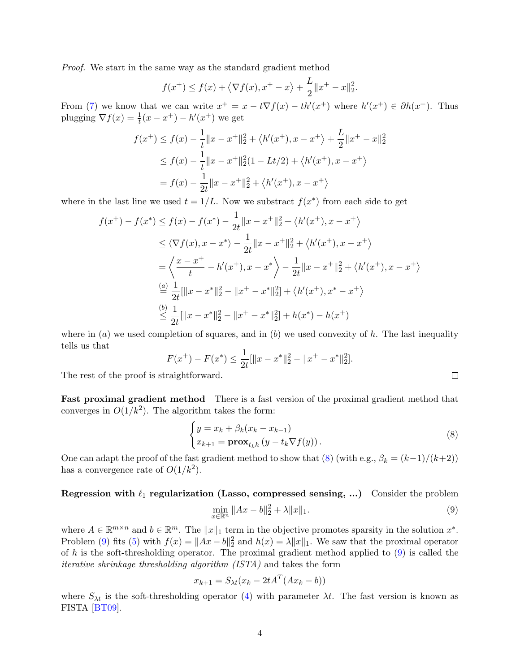<span id="page-3-2"></span>Proof. We start in the same way as the standard gradient method

$$
f(x^{+}) \le f(x) + \langle \nabla f(x), x^{+} - x \rangle + \frac{L}{2} ||x^{+} - x||_{2}^{2}.
$$

From [\(7\)](#page-2-0) we know that we can write  $x^+ = x - t\nabla f(x) - th'(x^+)$  where  $h'(x^+) \in \partial h(x^+)$ . Thus plugging  $\nabla f(x) = \frac{1}{t}(x - x^+) - h'(x^+)$  we get

$$
f(x^+) \le f(x) - \frac{1}{t} \|x - x^+\|_2^2 + \langle h'(x^+), x - x^+\rangle + \frac{L}{2} \|x^+ - x\|_2^2
$$
  
\n
$$
\le f(x) - \frac{1}{t} \|x - x^+\|_2^2 (1 - Lt/2) + \langle h'(x^+), x - x^+\rangle
$$
  
\n
$$
= f(x) - \frac{1}{2t} \|x - x^+\|_2^2 + \langle h'(x^+), x - x^+\rangle
$$

where in the last line we used  $t = 1/L$ . Now we substract  $f(x^*)$  from each side to get

$$
f(x^{+}) - f(x^{*}) \le f(x) - f(x^{*}) - \frac{1}{2t} \|x - x^{+}\|_{2}^{2} + \langle h'(x^{+}), x - x^{+}\rangle
$$
  
\n
$$
\le \langle \nabla f(x), x - x^{*}\rangle - \frac{1}{2t} \|x - x^{+}\|_{2}^{2} + \langle h'(x^{+}), x - x^{+}\rangle
$$
  
\n
$$
= \left\langle \frac{x - x^{+}}{t} - h'(x^{+}), x - x^{*}\right\rangle - \frac{1}{2t} \|x - x^{+}\|_{2}^{2} + \langle h'(x^{+}), x - x^{+}\rangle
$$
  
\n
$$
\stackrel{(a)}{=} \frac{1}{2t} [\|x - x^{*}\|_{2}^{2} - \|x^{+} - x^{*}\|_{2}^{2}] + \langle h'(x^{+}), x^{*} - x^{+}\rangle
$$
  
\n
$$
\stackrel{(b)}{\le} \frac{1}{2t} [\|x - x^{*}\|_{2}^{2} - \|x^{+} - x^{*}\|_{2}^{2}] + h(x^{*}) - h(x^{+})
$$

where in  $(a)$  we used completion of squares, and in  $(b)$  we used convexity of h. The last inequality tells us that

$$
F(x^{+}) - F(x^{*}) \le \frac{1}{2t} [\|x - x^{*}\|_{2}^{2} - \|x^{+} - x^{*}\|_{2}^{2}].
$$

The rest of the proof is straightforward.

Fast proximal gradient method There is a fast version of the proximal gradient method that converges in  $O(1/k^2)$ . The algorithm takes the form:

<span id="page-3-0"></span>
$$
\begin{cases}\ny = x_k + \beta_k (x_k - x_{k-1}) \\
x_{k+1} = \mathbf{prox}_{t_k h} (y - t_k \nabla f(y)).\n\end{cases}
$$
\n(8)

 $\Box$ 

One can adapt the proof of the fast gradient method to show that  $(8)$  (with e.g.,  $\beta_k = (k-1)/(k+2)$ ) has a convergence rate of  $O(1/k^2)$ .

Regression with  $\ell_1$  regularization (Lasso, compressed sensing, ...) Consider the problem  $\min_{x \in \mathbb{R}^n} \|Ax - b\|_2^2 + \lambda \|x\|_1.$  (9)

where  $A \in \mathbb{R}^{m \times n}$  and  $b \in \mathbb{R}^m$ . The  $||x||_1$  term in the objective promotes sparsity in the solution  $x^*$ . Problem [\(9\)](#page-3-1) fits [\(5\)](#page-1-2) with  $f(x) = ||Ax - b||_2^2$  and  $h(x) = \lambda ||x||_1$ . We saw that the proximal operator of h is the soft-thresholding operator. The proximal gradient method applied to  $(9)$  is called the iterative shrinkage thresholding algorithm (ISTA) and takes the form

<span id="page-3-1"></span>
$$
x_{k+1} = S_{\lambda t} (x_k - 2tA^T (Ax_k - b))
$$

where  $S_{\lambda t}$  is the soft-thresholding operator [\(4\)](#page-1-1) with parameter  $\lambda t$ . The fast version is known as FISTA [\[BT09\]](#page-4-0).